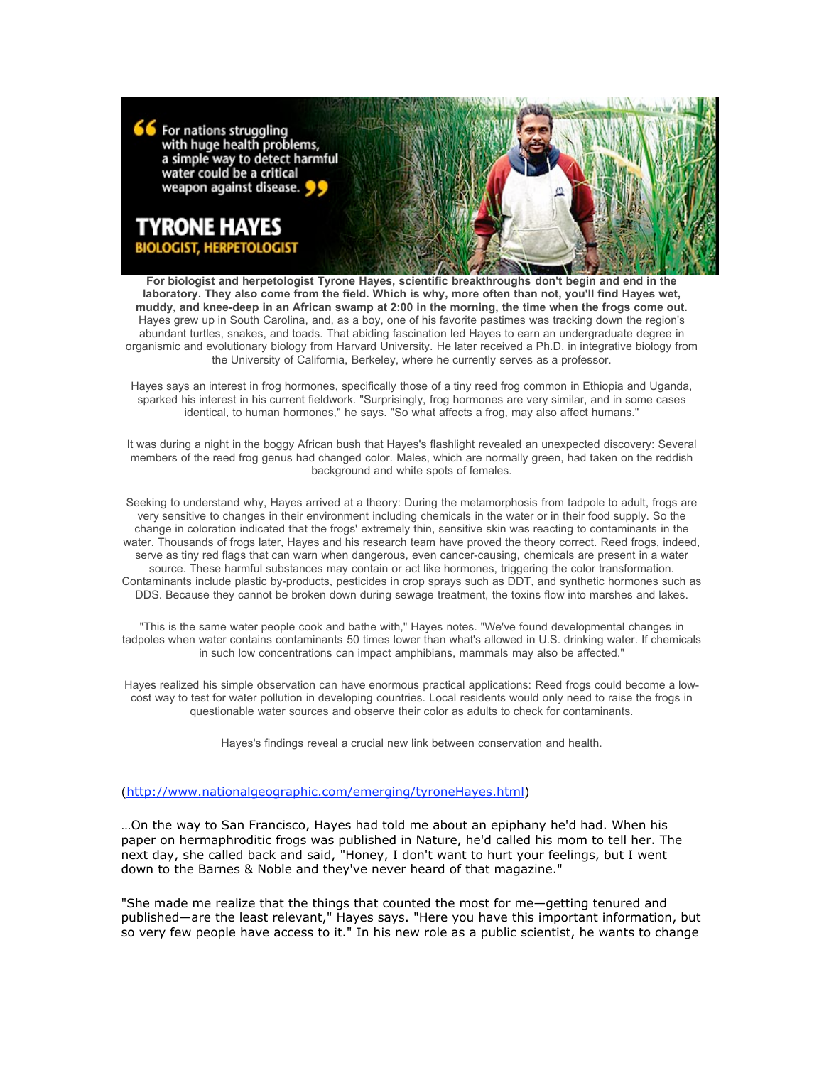

**For biologist and herpetologist Tyrone Hayes, scientific breakthroughs don't begin and end in the laboratory. They also come from the field. Which is why, more often than not, you'll find Hayes wet, muddy, and knee-deep in an African swamp at 2:00 in the morning, the time when the frogs come out.** Hayes grew up in South Carolina, and, as a boy, one of his favorite pastimes was tracking down the region's abundant turtles, snakes, and toads. That abiding fascination led Hayes to earn an undergraduate degree in organismic and evolutionary biology from Harvard University. He later received a Ph.D. in integrative biology from the University of California, Berkeley, where he currently serves as a professor.

Hayes says an interest in frog hormones, specifically those of a tiny reed frog common in Ethiopia and Uganda, sparked his interest in his current fieldwork. "Surprisingly, frog hormones are very similar, and in some cases identical, to human hormones," he says. "So what affects a frog, may also affect humans."

It was during a night in the boggy African bush that Hayes's flashlight revealed an unexpected discovery: Several members of the reed frog genus had changed color. Males, which are normally green, had taken on the reddish background and white spots of females.

Seeking to understand why, Hayes arrived at a theory: During the metamorphosis from tadpole to adult, frogs are very sensitive to changes in their environment including chemicals in the water or in their food supply. So the change in coloration indicated that the frogs' extremely thin, sensitive skin was reacting to contaminants in the water. Thousands of frogs later, Hayes and his research team have proved the theory correct. Reed frogs, indeed, serve as tiny red flags that can warn when dangerous, even cancer-causing, chemicals are present in a water source. These harmful substances may contain or act like hormones, triggering the color transformation. Contaminants include plastic by-products, pesticides in crop sprays such as DDT, and synthetic hormones such as DDS. Because they cannot be broken down during sewage treatment, the toxins flow into marshes and lakes.

"This is the same water people cook and bathe with," Hayes notes. "We've found developmental changes in tadpoles when water contains contaminants 50 times lower than what's allowed in U.S. drinking water. If chemicals in such low concentrations can impact amphibians, mammals may also be affected."

Hayes realized his simple observation can have enormous practical applications: Reed frogs could become a lowcost way to test for water pollution in developing countries. Local residents would only need to raise the frogs in questionable water sources and observe their color as adults to check for contaminants.

Hayes's findings reveal a crucial new link between conservation and health.

## (http://www.nationalgeographic.com/emerging/tyroneHayes.html)

…On the way to San Francisco, Hayes had told me about an epiphany he'd had. When his paper on hermaphroditic frogs was published in Nature, he'd called his mom to tell her. The next day, she called back and said, "Honey, I don't want to hurt your feelings, but I went down to the Barnes & Noble and they've never heard of that magazine."

"She made me realize that the things that counted the most for me—getting tenured and published—are the least relevant," Hayes says. "Here you have this important information, but so very few people have access to it." In his new role as a public scientist, he wants to change